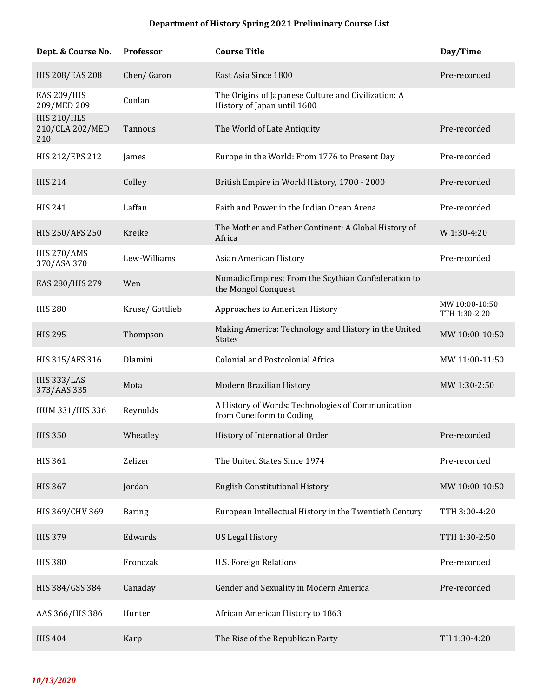## **Department of History Spring 2021 Preliminary Course List**

| Dept. & Course No.                           | Professor      | <b>Course Title</b>                                                                | Day/Time                        |
|----------------------------------------------|----------------|------------------------------------------------------------------------------------|---------------------------------|
| <b>HIS 208/EAS 208</b>                       | Chen/Garon     | East Asia Since 1800                                                               | Pre-recorded                    |
| <b>EAS 209/HIS</b><br>209/MED 209            | Conlan         | The Origins of Japanese Culture and Civilization: A<br>History of Japan until 1600 |                                 |
| <b>HIS 210/HLS</b><br>210/CLA 202/MED<br>210 | Tannous        | The World of Late Antiquity                                                        | Pre-recorded                    |
| HIS 212/EPS 212                              | James          | Europe in the World: From 1776 to Present Day                                      | Pre-recorded                    |
| <b>HIS 214</b>                               | Colley         | British Empire in World History, 1700 - 2000                                       | Pre-recorded                    |
| <b>HIS 241</b>                               | Laffan         | Faith and Power in the Indian Ocean Arena                                          | Pre-recorded                    |
| HIS 250/AFS 250                              | Kreike         | The Mother and Father Continent: A Global History of<br>Africa                     | W 1:30-4:20                     |
| <b>HIS 270/AMS</b><br>370/ASA 370            | Lew-Williams   | Asian American History                                                             | Pre-recorded                    |
| EAS 280/HIS 279                              | Wen            | Nomadic Empires: From the Scythian Confederation to<br>the Mongol Conquest         |                                 |
| <b>HIS 280</b>                               | Kruse/Gottlieb | Approaches to American History                                                     | MW 10:00-10:50<br>TTH 1:30-2:20 |
| <b>HIS 295</b>                               | Thompson       | Making America: Technology and History in the United<br><b>States</b>              | MW 10:00-10:50                  |
| HIS 315/AFS 316                              | Dlamini        | <b>Colonial and Postcolonial Africa</b>                                            | MW 11:00-11:50                  |
| <b>HIS 333/LAS</b><br>373/AAS 335            | Mota           | Modern Brazilian History                                                           | MW 1:30-2:50                    |
| HUM 331/HIS 336                              | Reynolds       | A History of Words: Technologies of Communication<br>from Cuneiform to Coding      |                                 |
| <b>HIS 350</b>                               | Wheatley       | History of International Order                                                     | Pre-recorded                    |
| <b>HIS 361</b>                               | Zelizer        | The United States Since 1974                                                       | Pre-recorded                    |
| <b>HIS 367</b>                               | Jordan         | <b>English Constitutional History</b>                                              | MW 10:00-10:50                  |
| HIS 369/CHV 369                              | <b>Baring</b>  | European Intellectual History in the Twentieth Century                             | TTH 3:00-4:20                   |
| <b>HIS 379</b>                               | Edwards        | <b>US Legal History</b>                                                            | TTH 1:30-2:50                   |
| <b>HIS 380</b>                               | Fronczak       | <b>U.S. Foreign Relations</b>                                                      | Pre-recorded                    |
| HIS 384/GSS 384                              | Canaday        | Gender and Sexuality in Modern America                                             | Pre-recorded                    |
| AAS 366/HIS 386                              | Hunter         | African American History to 1863                                                   |                                 |
| <b>HIS 404</b>                               | Karp           | The Rise of the Republican Party                                                   | TH 1:30-4:20                    |